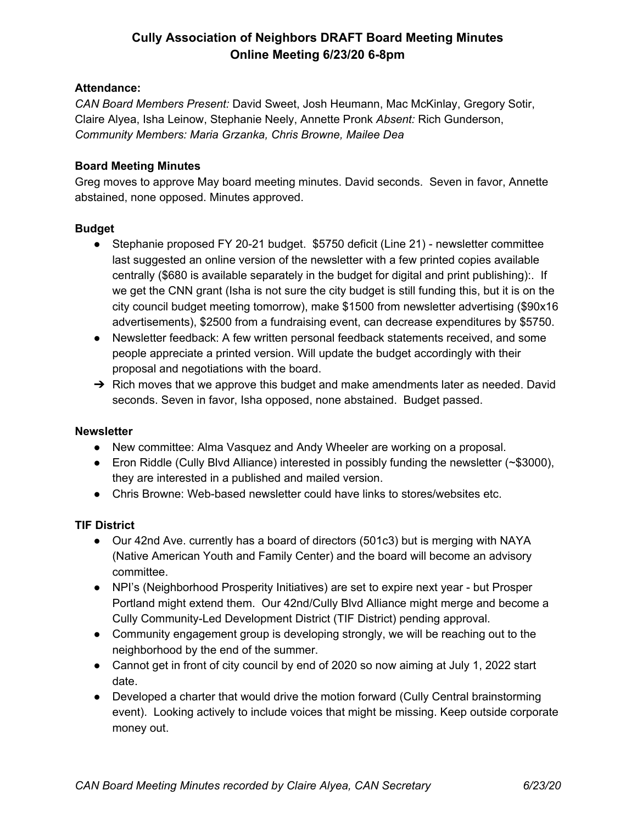# **Cully Association of Neighbors DRAFT Board Meeting Minutes Online Meeting 6/23/20 6-8pm**

### **Attendance:**

*CAN Board Members Present:* David Sweet, Josh Heumann, Mac McKinlay, Gregory Sotir, Claire Alyea, Isha Leinow, Stephanie Neely, Annette Pronk *Absent:* Rich Gunderson, *Community Members: Maria Grzanka, Chris Browne, Mailee Dea*

### **Board Meeting Minutes**

Greg moves to approve May board meeting minutes. David seconds. Seven in favor, Annette abstained, none opposed. Minutes approved.

### **Budget**

- Stephanie proposed FY 20-21 budget. \$5750 deficit (Line 21) newsletter committee last suggested an online version of the newsletter with a few printed copies available centrally (\$680 is available separately in the budget for digital and print publishing):. If we get the CNN grant (Isha is not sure the city budget is still funding this, but it is on the city council budget meeting tomorrow), make \$1500 from newsletter advertising (\$90x16 advertisements), \$2500 from a fundraising event, can decrease expenditures by \$5750.
- Newsletter feedback: A few written personal feedback statements received, and some people appreciate a printed version. Will update the budget accordingly with their proposal and negotiations with the board.
- $\rightarrow$  Rich moves that we approve this budget and make amendments later as needed. David seconds. Seven in favor, Isha opposed, none abstained. Budget passed.

#### **Newsletter**

- New committee: Alma Vasquez and Andy Wheeler are working on a proposal.
- Eron Riddle (Cully Blvd Alliance) interested in possibly funding the newsletter (~\$3000), they are interested in a published and mailed version.
- Chris Browne: Web-based newsletter could have links to stores/websites etc.

#### **TIF District**

- Our 42nd Ave. currently has a board of directors (501c3) but is merging with NAYA (Native American Youth and Family Center) and the board will become an advisory committee.
- NPI's (Neighborhood Prosperity Initiatives) are set to expire next year but Prosper Portland might extend them. Our 42nd/Cully Blvd Alliance might merge and become a Cully Community-Led Development District (TIF District) pending approval.
- Community engagement group is developing strongly, we will be reaching out to the neighborhood by the end of the summer.
- Cannot get in front of city council by end of 2020 so now aiming at July 1, 2022 start date.
- Developed a charter that would drive the motion forward (Cully Central brainstorming event). Looking actively to include voices that might be missing. Keep outside corporate money out.